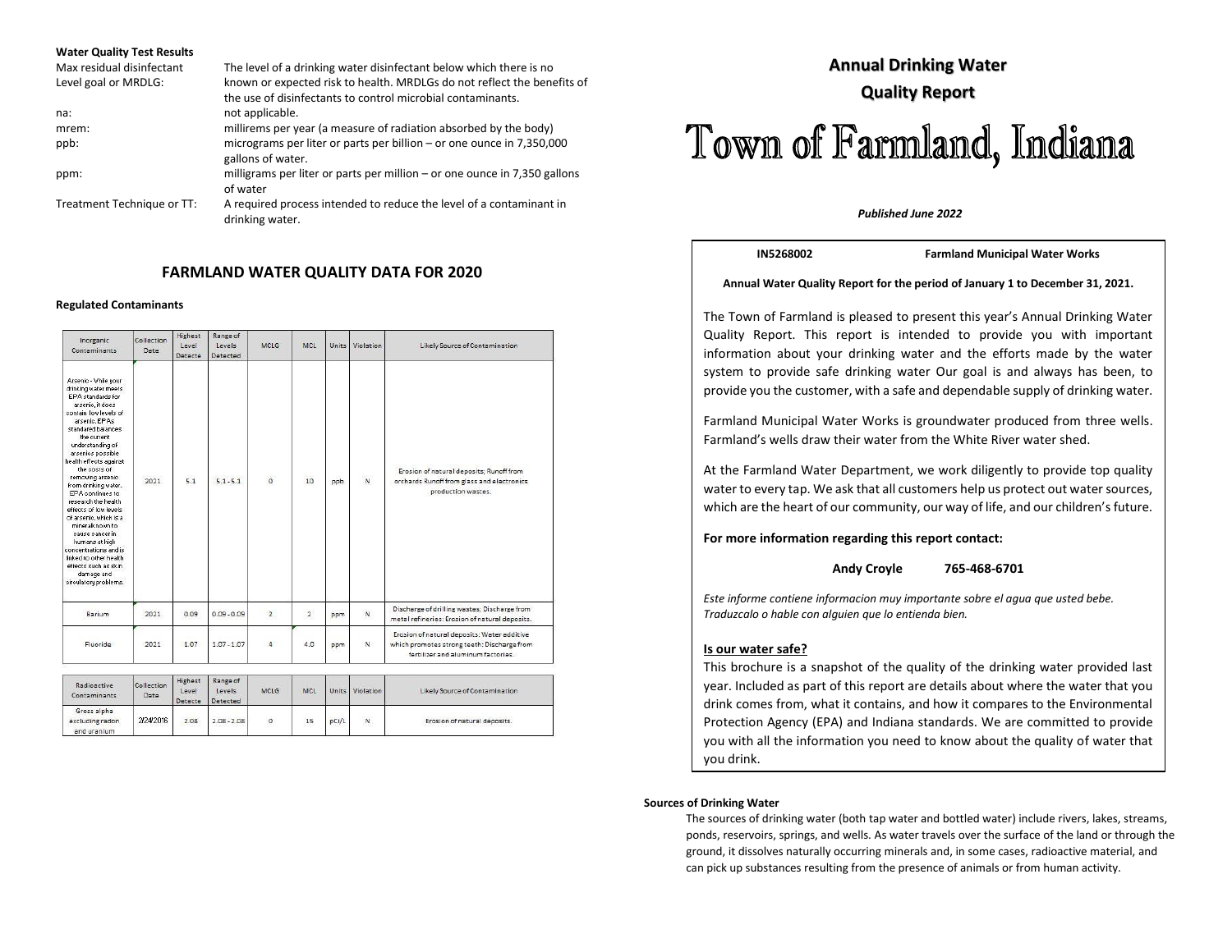#### **Water Quality Test Results**

| Max residual disinfectant  | The level of a drinking water disinfectant below which there is no                                                                     |
|----------------------------|----------------------------------------------------------------------------------------------------------------------------------------|
| Level goal or MRDLG:       | known or expected risk to health. MRDLGs do not reflect the benefits of<br>the use of disinfectants to control microbial contaminants. |
| na:                        | not applicable.                                                                                                                        |
| mrem:                      | millirems per year (a measure of radiation absorbed by the body)                                                                       |
| ppb:                       | micrograms per liter or parts per billion - or one ounce in 7,350,000<br>gallons of water.                                             |
| ppm:                       | milligrams per liter or parts per million – or one ounce in 7,350 gallons<br>of water                                                  |
| Treatment Technique or TT: | A required process intended to reduce the level of a contaminant in<br>drinking water.                                                 |

### **FARMLAND WATER QUALITY DATA FOR 2020**

#### **Regulated Contaminants**

| Arsenic - While your<br>EPA standards for<br>arsenio, it does<br>arsenic. EPAs<br>standared balances<br>the current<br>understanding of<br>arsenios possible<br>the costs of<br>Erosion of natural deposits; Runoff from<br>removing arsenic<br>10<br>$\circ$<br>5.1<br>$\overline{N}$<br>$5.1 - 5.1$<br>2021<br>orchards Runoff from glass and electronics<br>ppb<br>from drinking water.<br>production wastes.<br>EPA continues to<br>research the health<br>mineralknown to<br>cause cancer in<br>humans at high<br>damage and<br>Discharge of drilling wastes; Discharge from<br>N<br>$\overline{2}$<br>$\overline{2}$<br>Barium<br>2021<br>0.09<br>$0.09 - 0.09$<br>ppm<br>metal refineries: Erosion of natural deposits.<br>Erosion of natural deposits: Water additive<br>$1.07 - 1.07$<br>Fluoride<br>2021<br>1.07<br>$\overline{4}$<br>4.0<br>N<br>which promotes strong teeth: Discharge from<br>ppm<br>fertilizer and aluminum factories. | drinking water meets<br>contain low levels of<br>health effects against                                                                             | Date | Level<br>Detecte | Levels<br>Detected | MCLG | MCL | Units | Violation | Likely Source of Contamination |
|------------------------------------------------------------------------------------------------------------------------------------------------------------------------------------------------------------------------------------------------------------------------------------------------------------------------------------------------------------------------------------------------------------------------------------------------------------------------------------------------------------------------------------------------------------------------------------------------------------------------------------------------------------------------------------------------------------------------------------------------------------------------------------------------------------------------------------------------------------------------------------------------------------------------------------------------------|-----------------------------------------------------------------------------------------------------------------------------------------------------|------|------------------|--------------------|------|-----|-------|-----------|--------------------------------|
|                                                                                                                                                                                                                                                                                                                                                                                                                                                                                                                                                                                                                                                                                                                                                                                                                                                                                                                                                      | effects of low levels<br>of arsenic, which is a<br>concentrations and is<br>linked to other health<br>effects such as skin<br>circulatory problems. |      |                  |                    |      |     |       |           |                                |
|                                                                                                                                                                                                                                                                                                                                                                                                                                                                                                                                                                                                                                                                                                                                                                                                                                                                                                                                                      |                                                                                                                                                     |      |                  |                    |      |     |       |           |                                |
|                                                                                                                                                                                                                                                                                                                                                                                                                                                                                                                                                                                                                                                                                                                                                                                                                                                                                                                                                      |                                                                                                                                                     |      |                  |                    |      |     |       |           |                                |

| Radioactive<br>Contaminants                   | Collection<br>Date | Highest<br>Level<br>Detecte | Kange of<br>Levels.<br>Detected | MCLG    | <b>CONTRACTOR</b><br>MCL |       | Units Violation | Likely Source of Contamination |
|-----------------------------------------------|--------------------|-----------------------------|---------------------------------|---------|--------------------------|-------|-----------------|--------------------------------|
| Gross alpha<br>excluding radon<br>and uranium | 2/24/2016          | 2.08                        | $2.08 - 2.08$                   | $\circ$ | $15\,$                   | pCi/L | ${\sf N}$       | Erosion of natural deposits.   |

## **Annual Drinking Water Quality Report**

# Town of Farmland, Indiana

#### *Published June 2022*

**IN5268002 Farmland Municipal Water Works**

#### **Annual Water Quality Report for the period of January 1 to December 31, 2021.**

The Town of Farmland is pleased to present this year's Annual Drinking Water Quality Report. This report is intended to provide you with important information about your drinking water and the efforts made by the water system to provide safe drinking water Our goal is and always has been, to provide you the customer, with a safe and dependable supply of drinking water.

Farmland Municipal Water Works is groundwater produced from three wells. Farmland's wells draw their water from the White River water shed.

At the Farmland Water Department, we work diligently to provide top quality water to every tap. We ask that all customers help us protect out water sources, which are the heart of our community, our way of life, and our children's future.

#### **For more information regarding this report contact:**

#### **Andy Croyle 765-468-6701**

*Este informe contiene informacion muy importante sobre el agua que usted bebe. Traduzcalo o hable con alguien que lo entienda bien.*

#### **Is our water safe?**

This brochure is a snapshot of the quality of the drinking water provided last year. Included as part of this report are details about where the water that you drink comes from, what it contains, and how it compares to the Environmental Protection Agency (EPA) and Indiana standards. We are committed to provide you with all the information you need to know about the quality of water that you drink.

#### **Sources of Drinking Water**

The sources of drinking water (both tap water and bottled water) include rivers, lakes, streams, ponds, reservoirs, springs, and wells. As water travels over the surface of the land or through the ground, it dissolves naturally occurring minerals and, in some cases, radioactive material, and can pick up substances resulting from the presence of animals or from human activity.